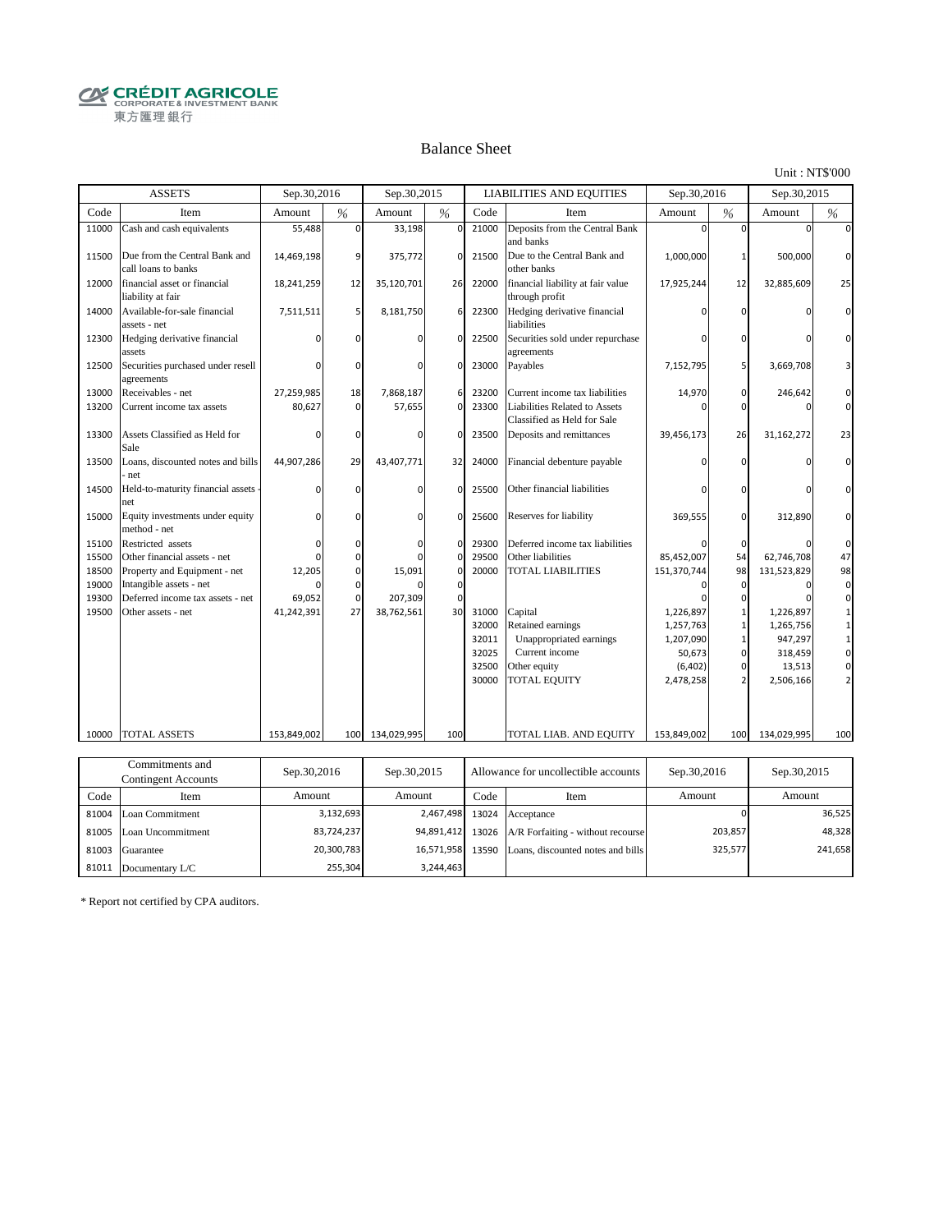**CRÉDIT AGRICOLE** 東方匯理銀行

#### Balance Sheet

Unit : NT\$'000

|       | <b>ASSETS</b>                                        | Sep.30,2016 |             | Sep.30,2015     |              |       | <b>LIABILITIES AND EQUITIES</b>                                     | Sep.30,2016 |                | Sep.30,2015 |             |
|-------|------------------------------------------------------|-------------|-------------|-----------------|--------------|-------|---------------------------------------------------------------------|-------------|----------------|-------------|-------------|
| Code  | Item                                                 | Amount      | %           | Amount          | %            | Code  | Item                                                                | Amount      | $\%$           | Amount      | %           |
| 11000 | Cash and cash equivalents                            | 55,488      | $\Omega$    | 33,198          | $\Omega$     | 21000 | Deposits from the Central Bank<br>and banks                         | $\Omega$    | $\Omega$       | n           | $\Omega$    |
| 11500 | Due from the Central Bank and<br>call loans to banks | 14,469,198  | 9           | 375,772         | $\mathbf{0}$ | 21500 | Due to the Central Bank and<br>other banks                          | 1,000,000   | 1              | 500,000     | $\mathbf 0$ |
| 12000 | financial asset or financial<br>liability at fair    | 18,241,259  | 12          | 35,120,701      | 26           | 22000 | financial liability at fair value<br>through profit                 | 17,925,244  | 12             | 32,885,609  | 25          |
| 14000 | Available-for-sale financial<br>assets - net         | 7,511,511   | 5           | 8,181,750       | 6            | 22300 | Hedging derivative financial<br>liabilities                         | $\Omega$    | $\Omega$       | C           | $\Omega$    |
| 12300 | Hedging derivative financial<br>assets               |             | n           | n               | $\Omega$     | 22500 | Securities sold under repurchase<br>agreements                      | $\Omega$    | $\Omega$       | n           | n           |
| 12500 | Securities purchased under resell<br>agreements      | $\Omega$    | 0           | $\Omega$        | $\mathbf 0$  | 23000 | Payables                                                            | 7,152,795   | 5              | 3,669,708   |             |
| 13000 | Receivables - net                                    | 27,259,985  | 18          | 7,868,187       | 6            | 23200 | Current income tax liabilities                                      | 14,970      | 0              | 246,642     | 0           |
| 13200 | Current income tax assets                            | 80,627      | $\Omega$    | 57,655          | $\Omega$     | 23300 | <b>Liabilities Related to Assets</b><br>Classified as Held for Sale | ŋ           | $\Omega$       |             | $\Omega$    |
| 13300 | Assets Classified as Held for<br>Sale                | $\Omega$    | $\Omega$    |                 | $\Omega$     | 23500 | Deposits and remittances                                            | 39,456,173  | 26             | 31,162,272  | 23          |
| 13500 | Loans, discounted notes and bills<br>net             | 44,907,286  | 29          | 43,407,771      | 32           | 24000 | Financial debenture payable                                         | n           | $\Omega$       |             | $\Omega$    |
| 14500 | Held-to-maturity financial assets<br>net             | $\Omega$    | 0           | U               | $\mathbf 0$  | 25500 | Other financial liabilities                                         | n           | n              |             | $\Omega$    |
| 15000 | Equity investments under equity<br>method - net      | $\Omega$    | $\Omega$    | U               | $\Omega$     | 25600 | Reserves for liability                                              | 369,555     | $\mathbf 0$    | 312,890     | $\Omega$    |
| 15100 | Restricted assets                                    | $\Omega$    | ŋ           | n               | $\mathbf 0$  | 29300 | Deferred income tax liabilities                                     | O           | 0              |             | $\mathbf 0$ |
| 15500 | Other financial assets - net                         | $\Omega$    | $\Omega$    |                 | $\Omega$     | 29500 | Other liabilities                                                   | 85,452,007  | 54             | 62,746,708  | 47          |
| 18500 | Property and Equipment - net                         | 12,205      | 0           | 15,091          | $\mathbf 0$  | 20000 | TOTAL LIABILITIES                                                   | 151,370,744 | 98             | 131,523,829 | 98          |
| 19000 | Intangible assets - net                              | $\Omega$    | 0           |                 | $\mathbf 0$  |       |                                                                     | $\Omega$    | 0              | O           | $\Omega$    |
| 19300 | Deferred income tax assets - net                     | 69,052      | $\mathbf 0$ | 207,309         | $\Omega$     |       |                                                                     |             | 0              |             | $\Omega$    |
| 19500 | Other assets - net                                   | 41,242,391  | 27          | 38,762,561      | 30           | 31000 | Capital                                                             | 1,226,897   | $\mathbf{1}$   | 1,226,897   |             |
|       |                                                      |             |             |                 |              | 32000 | Retained earnings                                                   | 1,257,763   | $\mathbf{1}$   | 1,265,756   |             |
|       |                                                      |             |             |                 |              | 32011 | Unappropriated earnings                                             | 1,207,090   | 1              | 947,297     |             |
|       |                                                      |             |             |                 |              | 32025 | Current income                                                      | 50,673      | $\mathbf 0$    | 318,459     | $\mathbf 0$ |
|       |                                                      |             |             |                 |              | 32500 | Other equity                                                        | (6, 402)    | 0              | 13,513      | 0           |
|       |                                                      |             |             |                 |              | 30000 | TOTAL EQUITY                                                        | 2,478,258   | $\overline{2}$ | 2,506,166   |             |
|       |                                                      |             |             |                 |              |       |                                                                     |             |                |             |             |
| 10000 | <b>TOTAL ASSETS</b>                                  | 153,849,002 |             | 100 134,029,995 | 100          |       | TOTAL LIAB. AND EQUITY                                              | 153,849,002 | 100            | 134,029,995 | 100         |
|       |                                                      |             |             |                 |              |       |                                                                     |             |                |             |             |

|       | Commitments and<br>Contingent Accounts | Sep.30,2016 | Allowance for uncollectible accounts<br>Sep.30,2015 |       | Sep.30,2016                             | Sep.30,2015 |         |
|-------|----------------------------------------|-------------|-----------------------------------------------------|-------|-----------------------------------------|-------------|---------|
| Code  | Item                                   | Amount      | Amount                                              | Code  | Item                                    | Amount      | Amount  |
|       | 81004 Loan Commitment                  | 3,132,693   | 2,467,498                                           | 13024 | Acceptance                              |             | 36,525  |
|       | 81005 Loan Uncommitment                | 83,724,237  | 94,891,412                                          |       | 13026 A/R Forfaiting - without recourse | 203,857     | 48,328  |
|       | 81003 Guarantee                        | 20,300,783  | 16,571,958                                          | 13590 | Loans, discounted notes and bills       | 325,577     | 241,658 |
| 81011 | Documentary L/C                        | 255,304     | 3,244,463                                           |       |                                         |             |         |

\* Report not certified by CPA auditors.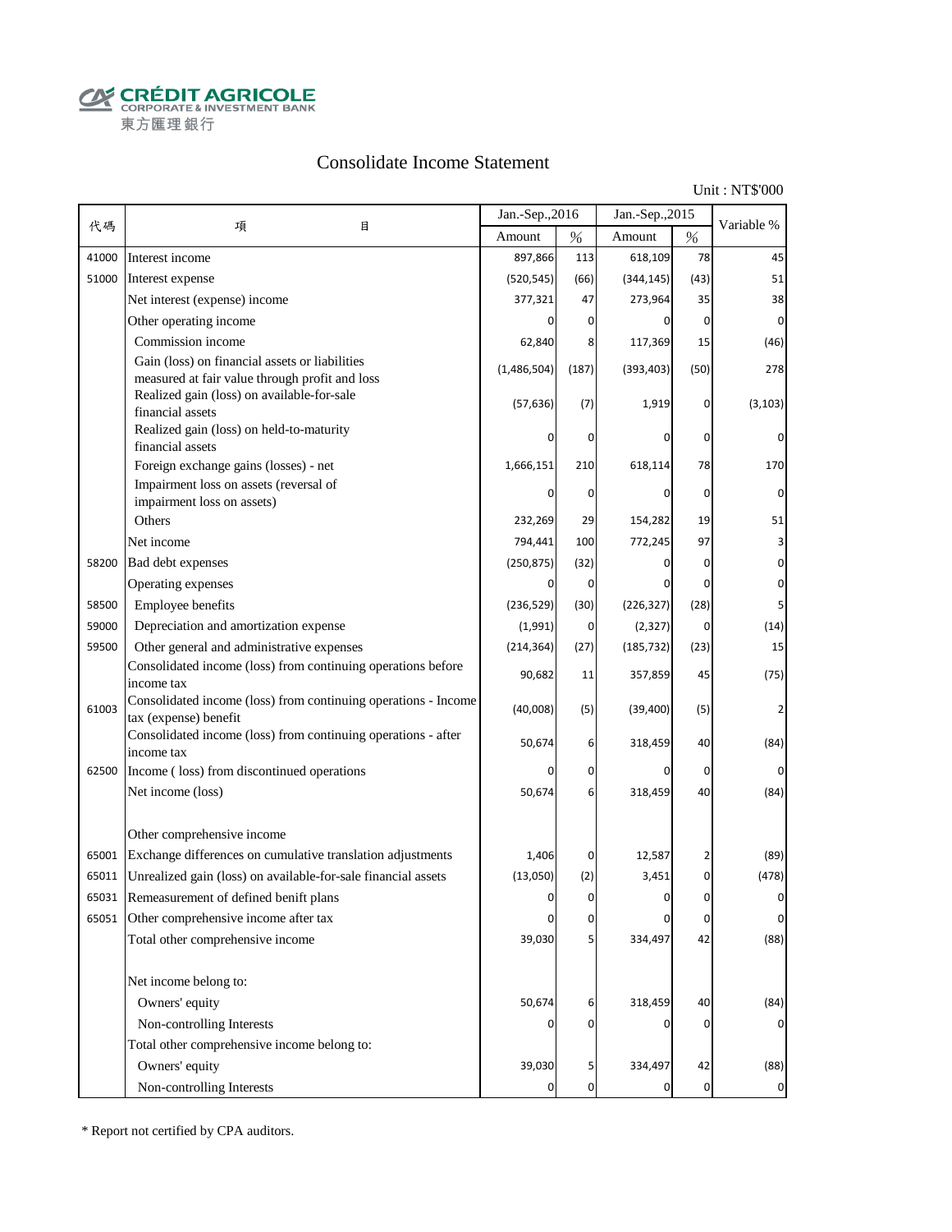**CALCOUT AGRICOLE**<br>
CORPORATE & INVESTMENT BANK<br>
東方匯理銀行

#### Consolidate Income Statement

Unit : NT\$'000

|       |                                                                                                           | Jan.-Sep., 2016 |                  | Jan.-Sep., 2015 |                | Variable %  |
|-------|-----------------------------------------------------------------------------------------------------------|-----------------|------------------|-----------------|----------------|-------------|
| 代碼    | 目<br>項                                                                                                    | Amount          | $\%$             | Amount          | $\%$           |             |
| 41000 | Interest income                                                                                           | 897,866         | 113              | 618,109         | 78             | 45          |
| 51000 | Interest expense                                                                                          | (520, 545)      | (66)             | (344, 145)      | (43)           | 51          |
|       | Net interest (expense) income                                                                             | 377,321         | 47               | 273,964         | 35             | 38          |
|       | Other operating income                                                                                    |                 | $\mathbf{0}$     | 0               | $\overline{0}$ | 0           |
|       | Commission income                                                                                         | 62,840          | 8                | 117,369         | 15             | (46)        |
|       | Gain (loss) on financial assets or liabilities<br>measured at fair value through profit and loss          | (1,486,504)     | (187)            | (393, 403)      | (50)           | 278         |
|       | Realized gain (loss) on available-for-sale<br>financial assets                                            | (57, 636)       | (7)              | 1,919           | 0              | (3, 103)    |
|       | Realized gain (loss) on held-to-maturity<br>financial assets                                              |                 | 0                | 0               | 0              | 0           |
|       | Foreign exchange gains (losses) - net                                                                     | 1,666,151       | 210              | 618,114         | 78             | 170         |
|       | Impairment loss on assets (reversal of                                                                    | 0               | $\mathbf 0$      | 0               | $\overline{0}$ | 0           |
|       | impairment loss on assets)<br>Others                                                                      | 232,269         | 29               | 154,282         | 19             | 51          |
|       | Net income                                                                                                | 794,441         | 100              | 772,245         | 97             | 3           |
| 58200 | Bad debt expenses                                                                                         | (250, 875)      | (32)             |                 | 0              | 0           |
|       |                                                                                                           | 0               | $\overline{0}$   | 0               | $\mathbf 0$    | $\pmb{0}$   |
| 58500 | Operating expenses<br>Employee benefits                                                                   |                 |                  |                 | (28)           |             |
|       | Depreciation and amortization expense                                                                     | (236, 529)      | (30)             | (226, 327)      | $\overline{0}$ | 5           |
| 59000 |                                                                                                           | (1,991)         | $\overline{0}$   | (2, 327)        |                | (14)        |
| 59500 | Other general and administrative expenses<br>Consolidated income (loss) from continuing operations before | (214, 364)      | (27)             | (185, 732)      | (23)           | 15          |
|       | income tax                                                                                                | 90,682          | 11               | 357,859         | 45             | (75)        |
| 61003 | Consolidated income (loss) from continuing operations - Income<br>tax (expense) benefit                   | (40,008)        | (5)              | (39, 400)       | (5)            |             |
|       | Consolidated income (loss) from continuing operations - after<br>income tax                               | 50,674          | $6 \mid$         | 318,459         | 40             | (84)        |
| 62500 | Income (loss) from discontinued operations                                                                | 0               | 0                | 0               | 0              | 0           |
|       | Net income (loss)                                                                                         | 50,674          | $6 \mid$         | 318,459         | 40             | (84)        |
|       | Other comprehensive income                                                                                |                 |                  |                 |                |             |
| 65001 | Exchange differences on cumulative translation adjustments                                                | 1,406           | $\overline{0}$   | 12,587          | 2              | (89)        |
| 65011 | Unrealized gain (loss) on available-for-sale financial assets                                             | (13,050)        | (2)              | 3,451           | 0              | (478)       |
|       | 65031 Remeasurement of defined benift plans                                                               | $\mathbf 0$     | 0                | $\Omega$        | $\overline{0}$ | $\mathbf 0$ |
|       | 65051 Other comprehensive income after tax                                                                | 0               | 0                | 0               | 0              | 0           |
|       | Total other comprehensive income                                                                          | 39,030          | 5 <sub>l</sub>   | 334,497         | 42             | (88)        |
|       | Net income belong to:                                                                                     |                 |                  |                 |                |             |
|       | Owners' equity                                                                                            | 50,674          | 6                | 318,459         | 40             | (84)        |
|       | Non-controlling Interests                                                                                 |                 | 0                | 0               | $\mathbf 0$    |             |
|       | Total other comprehensive income belong to:                                                               |                 |                  |                 |                |             |
|       | Owners' equity                                                                                            | 39,030          | 5                | 334,497         | 42             | (88)        |
|       | Non-controlling Interests                                                                                 |                 | $\boldsymbol{0}$ |                 | $\mathbf 0$    | 0           |

\* Report not certified by CPA auditors.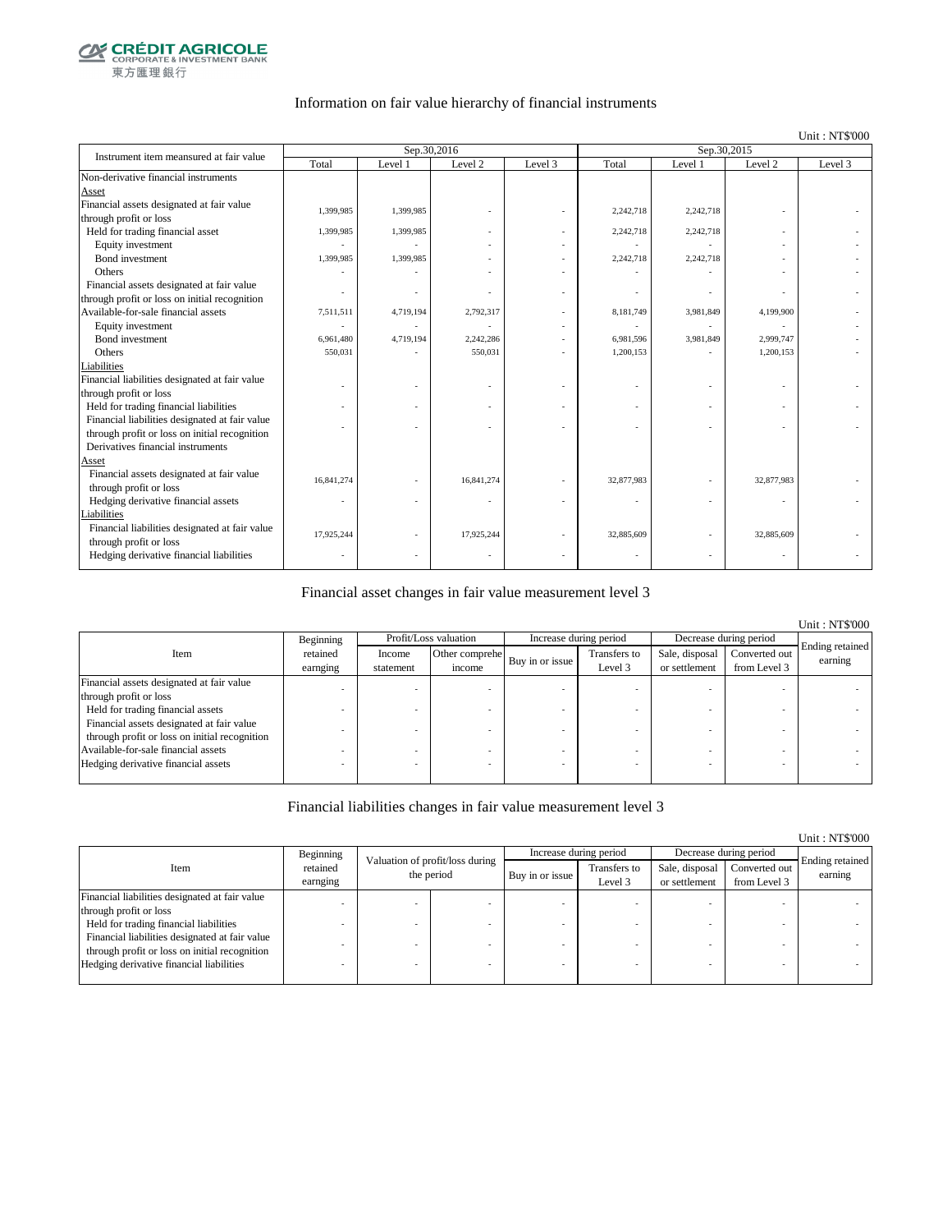

#### Information on fair value hierarchy of financial instruments

#### Unit : NT\$'000

| Instrument item meansured at fair value        |            | Sep.30,2016 |            |         | Sep.30,2015 |           |            |         |
|------------------------------------------------|------------|-------------|------------|---------|-------------|-----------|------------|---------|
|                                                | Total      | Level 1     | Level 2    | Level 3 | Total       | Level 1   | Level 2    | Level 3 |
| Non-derivative financial instruments           |            |             |            |         |             |           |            |         |
| Asset                                          |            |             |            |         |             |           |            |         |
| Financial assets designated at fair value      | 1,399,985  | 1,399,985   |            |         | 2,242,718   | 2,242,718 |            |         |
| through profit or loss                         |            |             |            |         |             |           |            |         |
| Held for trading financial asset               | 1,399,985  | 1,399,985   |            |         | 2,242,718   | 2,242,718 |            |         |
| Equity investment                              |            |             |            |         |             |           |            |         |
| <b>Bond</b> investment                         | 1,399,985  | 1,399,985   |            |         | 2,242,718   | 2,242,718 |            |         |
| Others                                         |            |             |            |         |             |           |            |         |
| Financial assets designated at fair value      |            |             |            |         |             |           |            |         |
| through profit or loss on initial recognition  |            |             |            |         |             |           |            |         |
| Available-for-sale financial assets            | 7,511,511  | 4,719,194   | 2,792,317  |         | 8,181,749   | 3,981,849 | 4,199,900  |         |
| Equity investment                              |            |             |            |         |             |           |            |         |
| Bond investment                                | 6,961,480  | 4,719,194   | 2,242,286  |         | 6,981,596   | 3,981,849 | 2,999,747  |         |
| Others                                         | 550,031    |             | 550,031    |         | 1.200.153   |           | 1,200,153  |         |
| Liabilities                                    |            |             |            |         |             |           |            |         |
| Financial liabilities designated at fair value |            |             |            |         |             |           |            |         |
| through profit or loss                         |            |             |            |         |             |           |            |         |
| Held for trading financial liabilities         |            |             |            |         |             |           |            |         |
| Financial liabilities designated at fair value |            |             |            |         |             |           |            |         |
| through profit or loss on initial recognition  |            |             |            |         |             |           |            |         |
| Derivatives financial instruments              |            |             |            |         |             |           |            |         |
| Asset                                          |            |             |            |         |             |           |            |         |
| Financial assets designated at fair value      | 16,841,274 |             | 16,841,274 |         | 32,877,983  |           | 32,877,983 |         |
| through profit or loss                         |            |             |            |         |             |           |            |         |
| Hedging derivative financial assets            | ٠          |             |            |         |             |           | ٠          |         |
| Liabilities                                    |            |             |            |         |             |           |            |         |
| Financial liabilities designated at fair value | 17,925,244 |             | 17,925,244 |         | 32,885,609  |           | 32,885,609 |         |
| through profit or loss                         |            |             |            |         |             |           |            |         |
| Hedging derivative financial liabilities       |            |             |            |         |             |           |            |         |

#### Financial asset changes in fair value measurement level 3

|                                                                                            |                      |                     |                          |                        |                         |                                 |                               | <b>Unit: NT\$'000</b>      |
|--------------------------------------------------------------------------------------------|----------------------|---------------------|--------------------------|------------------------|-------------------------|---------------------------------|-------------------------------|----------------------------|
|                                                                                            | Beginning            |                     | Profit/Loss valuation    | Increase during period |                         | Decrease during period          |                               |                            |
| Item                                                                                       | retained<br>earnging | Income<br>statement | Other comprehe<br>income | Buy in or issue        | Transfers to<br>Level 3 | Sale, disposal<br>or settlement | Converted out<br>from Level 3 | Ending retained<br>earning |
| Financial assets designated at fair value                                                  |                      |                     |                          |                        |                         |                                 |                               |                            |
| through profit or loss                                                                     |                      |                     |                          |                        |                         |                                 |                               |                            |
| Held for trading financial assets                                                          |                      |                     |                          |                        |                         |                                 |                               |                            |
| Financial assets designated at fair value<br>through profit or loss on initial recognition |                      |                     |                          |                        |                         |                                 |                               |                            |
| Available-for-sale financial assets                                                        |                      |                     |                          |                        |                         |                                 |                               |                            |
| Hedging derivative financial assets                                                        |                      |                     |                          |                        |                         |                                 |                               |                            |

#### Financial liabilities changes in fair value measurement level 3

|                                                |                                              |  |            |                        |                         |                                 |                               | Unit: NT\$'000             |
|------------------------------------------------|----------------------------------------------|--|------------|------------------------|-------------------------|---------------------------------|-------------------------------|----------------------------|
|                                                | Beginning<br>Valuation of profit/loss during |  |            | Increase during period |                         | Decrease during period          |                               |                            |
| Item                                           | retained<br>earnging                         |  | the period | Buy in or issue        | Transfers to<br>Level 3 | Sale, disposal<br>or settlement | Converted out<br>from Level 3 | Ending retained<br>earning |
| Financial liabilities designated at fair value |                                              |  |            |                        |                         |                                 |                               |                            |
| through profit or loss                         |                                              |  |            |                        |                         |                                 |                               |                            |
| Held for trading financial liabilities         |                                              |  |            |                        |                         |                                 |                               |                            |
| Financial liabilities designated at fair value |                                              |  |            |                        |                         |                                 |                               |                            |
| through profit or loss on initial recognition  |                                              |  |            |                        |                         |                                 |                               |                            |
| Hedging derivative financial liabilities       |                                              |  |            |                        |                         |                                 | $\overline{\phantom{a}}$      |                            |
|                                                |                                              |  |            |                        |                         |                                 |                               |                            |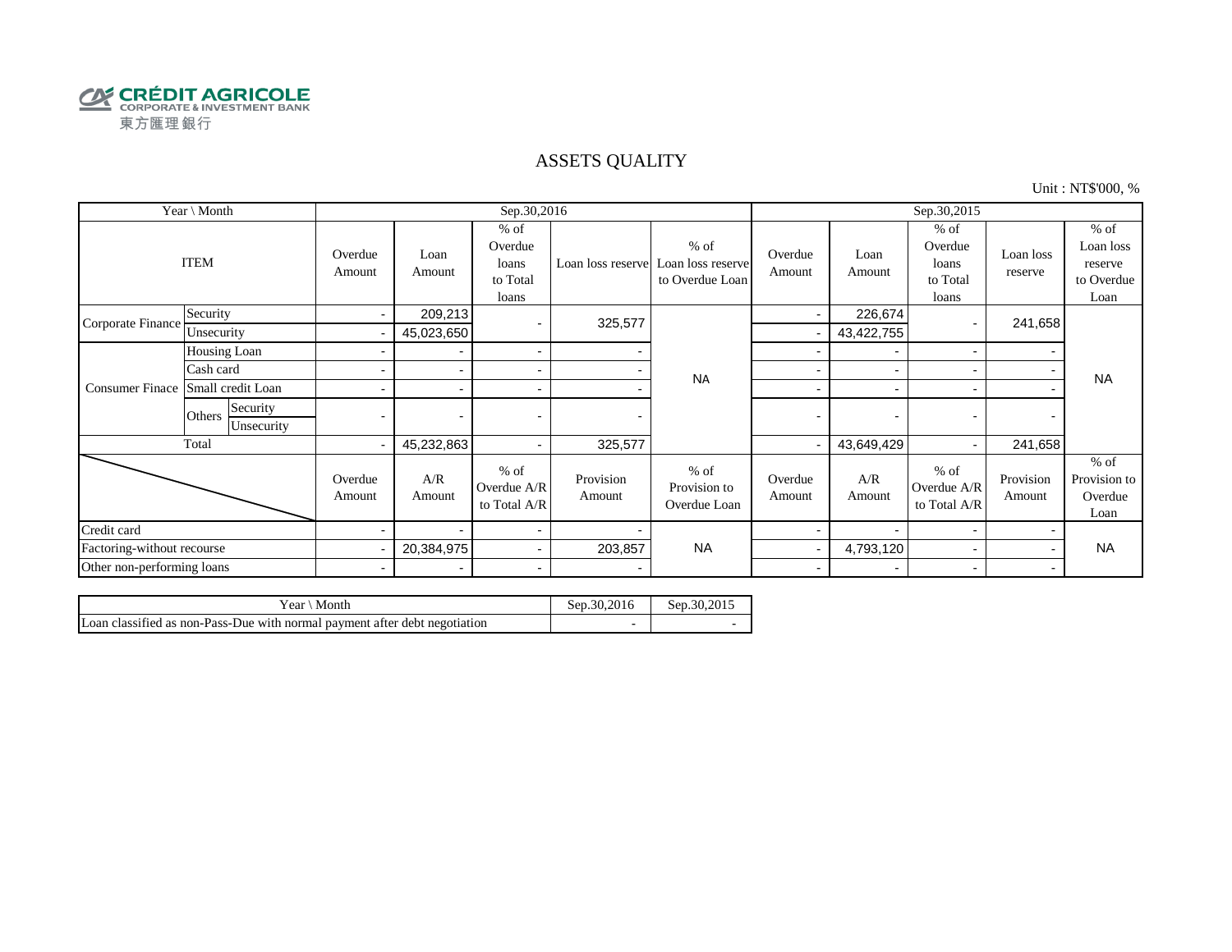

#### ASSETS QUALITY

Unit : NT\$'000, %

| Year \ Month               |                                  |                          |                          | Sep.30,2016                                     |                     |                                                | Sep.30,2015       |                          |                                                 |                      |                                                      |  |
|----------------------------|----------------------------------|--------------------------|--------------------------|-------------------------------------------------|---------------------|------------------------------------------------|-------------------|--------------------------|-------------------------------------------------|----------------------|------------------------------------------------------|--|
|                            | <b>ITEM</b>                      | Overdue<br>Amount        | Loan<br>Amount           | $%$ of<br>Overdue<br>loans<br>to Total<br>loans | Loan loss reserve   | $%$ of<br>Loan loss reserve<br>to Overdue Loan | Overdue<br>Amount | Loan<br>Amount           | $%$ of<br>Overdue<br>loans<br>to Total<br>loans | Loan loss<br>reserve | $%$ of<br>Loan loss<br>reserve<br>to Overdue<br>Loan |  |
| Corporate Finance          | Security                         | $\blacksquare$           | 209,213                  |                                                 | 325,577             |                                                | $\blacksquare$    | 226,674                  |                                                 | 241,658              |                                                      |  |
|                            | Unsecurity                       |                          | 45,023,650               |                                                 |                     |                                                |                   | 43,422,755               |                                                 |                      |                                                      |  |
|                            | Housing Loan                     |                          | $\blacksquare$           | $\blacksquare$                                  |                     | <b>NA</b>                                      |                   |                          |                                                 |                      |                                                      |  |
|                            | Cash card                        |                          |                          | $\blacksquare$                                  |                     |                                                |                   |                          |                                                 |                      | <b>NA</b>                                            |  |
| <b>Consumer Finace</b>     | Small credit Loan                |                          |                          | $\overline{\phantom{a}}$                        |                     |                                                |                   |                          |                                                 |                      |                                                      |  |
|                            | Security<br>Others<br>Unsecurity | $\overline{\phantom{0}}$ |                          | $\overline{\phantom{0}}$                        |                     |                                                |                   | $\overline{\phantom{0}}$ |                                                 |                      |                                                      |  |
|                            | Total                            | $\overline{\phantom{0}}$ | 45,232,863               | $\blacksquare$                                  | 325,577             |                                                |                   | 43,649,429               |                                                 | 241,658              |                                                      |  |
|                            |                                  | Overdue<br>Amount        | A/R<br>Amount            | $%$ of<br>Overdue A/R<br>to Total A/R           | Provision<br>Amount | $%$ of<br>Provision to<br>Overdue Loan         | Overdue<br>Amount | A/R<br>Amount            | $%$ of<br>Overdue A/R<br>to Total A/R           | Provision<br>Amount  | $%$ of<br>Provision to<br>Overdue<br>Loan            |  |
| Credit card                |                                  |                          |                          | $\blacksquare$                                  |                     |                                                |                   |                          |                                                 |                      |                                                      |  |
| Factoring-without recourse |                                  |                          | 20,384,975               | $\blacksquare$                                  | 203,857             | <b>NA</b>                                      |                   | 4,793,120                |                                                 |                      | <b>NA</b>                                            |  |
| Other non-performing loans |                                  | $\blacksquare$           | $\overline{\phantom{a}}$ | $\sim$                                          |                     |                                                | $\sim$            |                          |                                                 | $\blacksquare$       |                                                      |  |

| Month<br>rear                                                              | Sep.30.2016              | Sep.30.2015 |
|----------------------------------------------------------------------------|--------------------------|-------------|
| Loan classified as non-Pass-Due with normal payment after debt negotiation | $\overline{\phantom{a}}$ |             |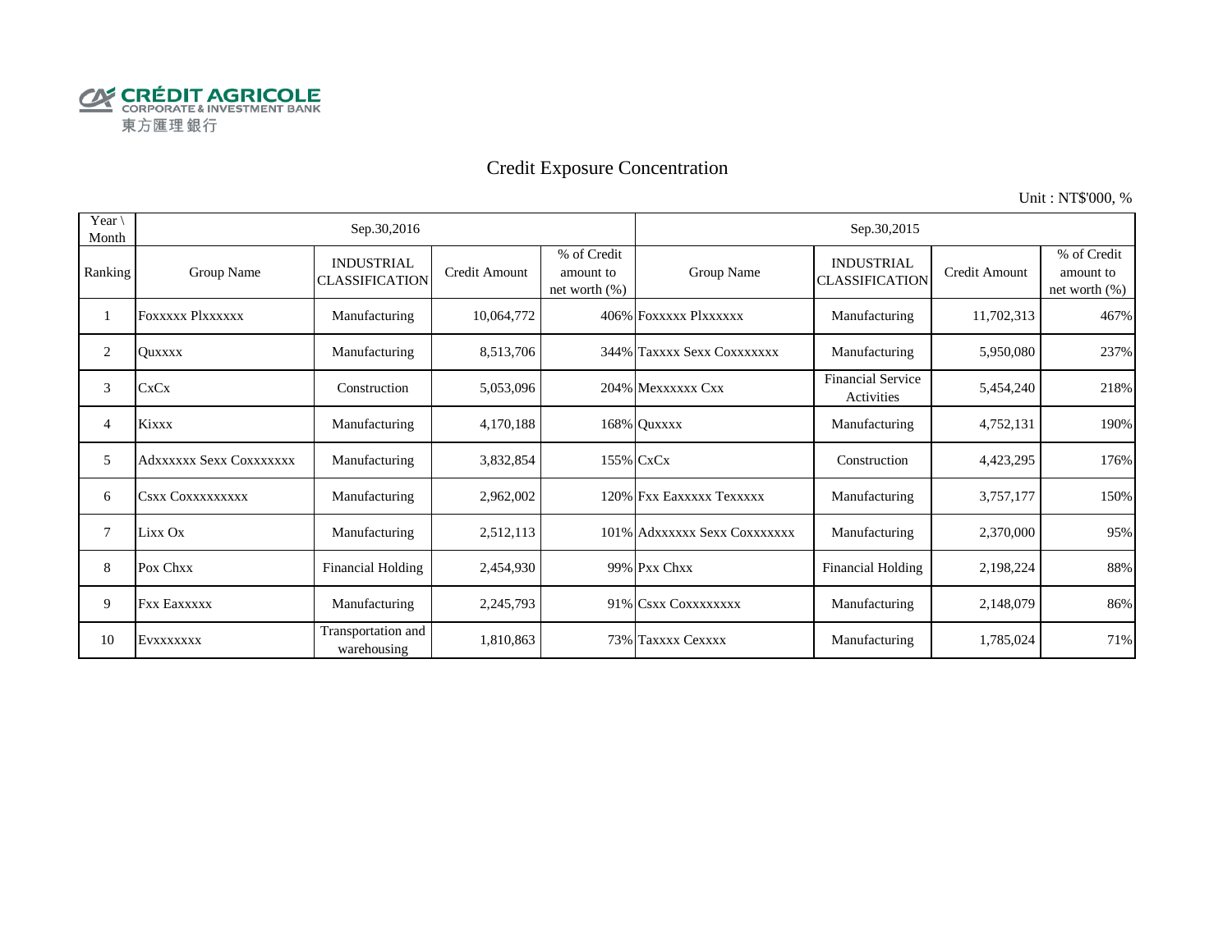

## Credit Exposure Concentration

Unit : NT\$'000, %

| Year $\setminus$<br>Month |                         | Sep.30,2016                                |                      |                                              |                              | Sep.30,2015                                |               |                                              |
|---------------------------|-------------------------|--------------------------------------------|----------------------|----------------------------------------------|------------------------------|--------------------------------------------|---------------|----------------------------------------------|
| Ranking                   | Group Name              | <b>INDUSTRIAL</b><br><b>CLASSIFICATION</b> | <b>Credit Amount</b> | % of Credit<br>amount to<br>net worth $(\%)$ | Group Name                   | <b>INDUSTRIAL</b><br><b>CLASSIFICATION</b> | Credit Amount | % of Credit<br>amount to<br>net worth $(\%)$ |
|                           | <b>FOXXXXX PIXXXXXX</b> | Manufacturing                              | 10,064,772           |                                              | 406% FOXXXXX PlXXXXXX        | Manufacturing                              | 11,702,313    | 467%                                         |
| 2                         | <b>Ouxxxx</b>           | Manufacturing                              | 8,513,706            |                                              | 344% Taxxxx Sexx Coxxxxxxx   | Manufacturing                              | 5,950,080     | 237%                                         |
| 3                         | <b>CxCx</b>             | Construction                               | 5,053,096            |                                              | 204% Mexxxxxx Cxx            | <b>Financial Service</b><br>Activities     | 5,454,240     | 218%                                         |
| 4                         | Kixxx                   | Manufacturing                              | 4,170,188            |                                              | 168% Quxxxx                  | Manufacturing                              | 4,752,131     | 190%                                         |
| 5                         | Adxxxxxx Sexx Coxxxxxxx | Manufacturing                              | 3,832,854            |                                              | 155% CxCx                    | Construction                               | 4,423,295     | 176%                                         |
| 6                         | <b>CSXX COXXXXXXXXX</b> | Manufacturing                              | 2,962,002            |                                              | 120% Fxx Eaxxxxx Texxxxx     | Manufacturing                              | 3,757,177     | 150%                                         |
| 7                         | Lixx Ox                 | Manufacturing                              | 2,512,113            |                                              | 101% Adxxxxxx Sexx Coxxxxxxx | Manufacturing                              | 2,370,000     | 95%                                          |
| 8                         | Pox Chxx                | <b>Financial Holding</b>                   | 2,454,930            |                                              | 99% Pxx Chxx                 | <b>Financial Holding</b>                   | 2,198,224     | 88%                                          |
| 9                         | <b>Fxx Eaxxxxx</b>      | Manufacturing                              | 2,245,793            |                                              | 91% CSXX COXXXXXXXX          | Manufacturing                              | 2,148,079     | 86%                                          |
| 10                        | EVXXXXXXX               | Transportation and<br>warehousing          | 1,810,863            |                                              | 73% Taxxxx Cexxxx            | Manufacturing                              | 1,785,024     | 71%                                          |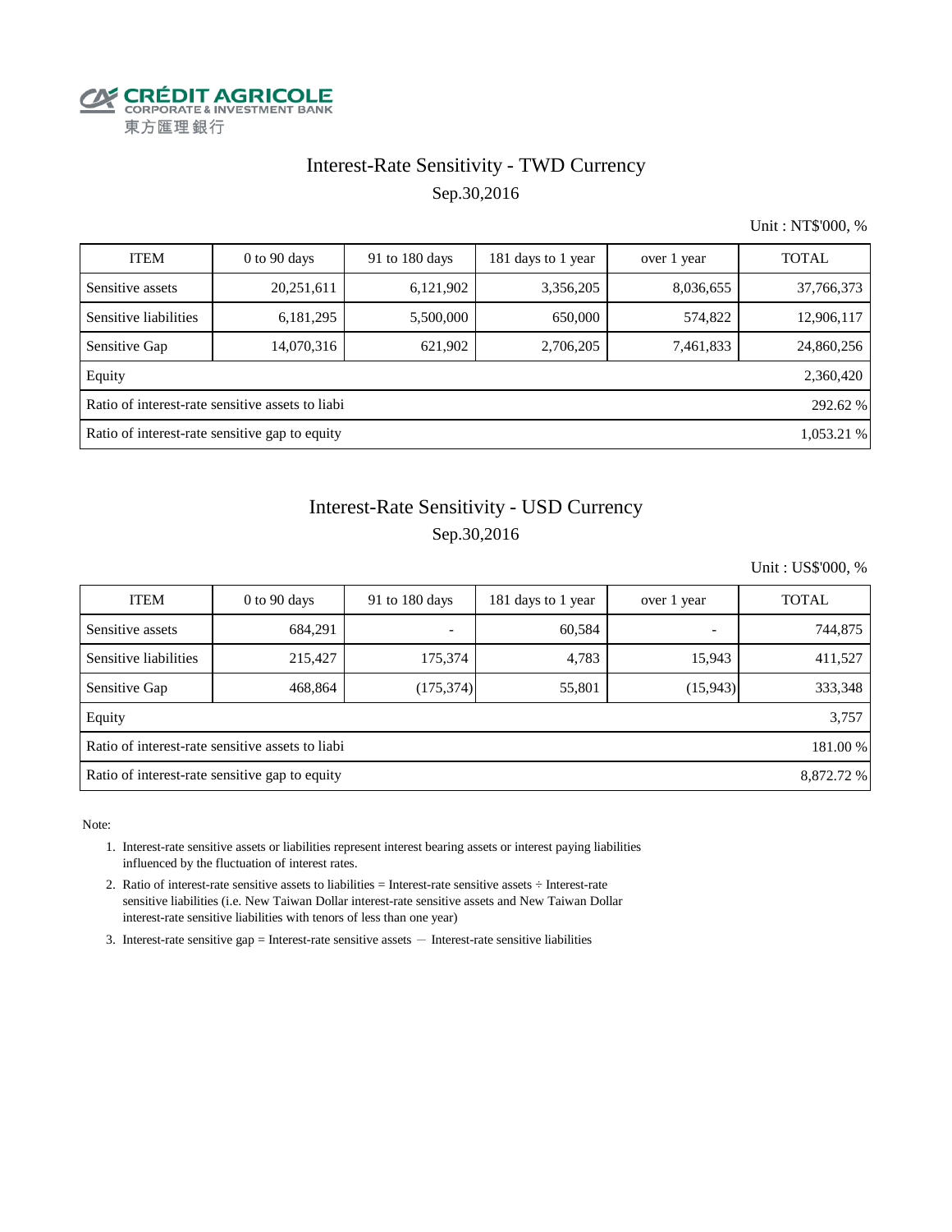

# Interest-Rate Sensitivity - TWD Currency

Sep.30,2016

Unit : NT\$'000, %

| <b>ITEM</b>                                                  | $0$ to $90$ days | 91 to 180 days | 181 days to 1 year | over 1 year | <b>TOTAL</b> |  |  |  |
|--------------------------------------------------------------|------------------|----------------|--------------------|-------------|--------------|--|--|--|
| Sensitive assets                                             | 20,251,611       | 6,121,902      | 3,356,205          | 8,036,655   | 37,766,373   |  |  |  |
| Sensitive liabilities                                        | 6,181,295        | 5,500,000      | 650,000            | 574,822     | 12,906,117   |  |  |  |
| Sensitive Gap                                                | 14,070,316       | 621,902        | 2,706,205          | 7,461,833   | 24,860,256   |  |  |  |
| Equity                                                       |                  |                |                    |             | 2,360,420    |  |  |  |
| Ratio of interest-rate sensitive assets to liabi<br>292.62 % |                  |                |                    |             |              |  |  |  |
| Ratio of interest-rate sensitive gap to equity<br>1,053.21 % |                  |                |                    |             |              |  |  |  |

## Interest-Rate Sensitivity - USD Currency Sep.30,2016

Unit : US\$'000, %

| <b>ITEM</b>                                                  | $0$ to 90 days | 91 to 180 days | 181 days to 1 year | over 1 year | <b>TOTAL</b> |  |  |  |
|--------------------------------------------------------------|----------------|----------------|--------------------|-------------|--------------|--|--|--|
| Sensitive assets                                             | 684,291        |                | 60,584             |             | 744,875      |  |  |  |
| Sensitive liabilities                                        | 215,427        | 175,374        | 4,783              | 15,943      | 411,527      |  |  |  |
| Sensitive Gap                                                | 468,864        | (175, 374)     | 55,801             | (15,943)    | 333,348      |  |  |  |
| Equity                                                       |                |                |                    |             | 3,757        |  |  |  |
| Ratio of interest-rate sensitive assets to liabi<br>181.00 % |                |                |                    |             |              |  |  |  |
| Ratio of interest-rate sensitive gap to equity<br>8,872.72 % |                |                |                    |             |              |  |  |  |

- 1. Interest-rate sensitive assets or liabilities represent interest bearing assets or interest paying liabilities influenced by the fluctuation of interest rates.
- 2. Ratio of interest-rate sensitive assets to liabilities = Interest-rate sensitive assets ÷ Interest-rate sensitive liabilities (i.e. New Taiwan Dollar interest-rate sensitive assets and New Taiwan Dollar interest-rate sensitive liabilities with tenors of less than one year)
- 3. Interest-rate sensitive gap = Interest-rate sensitive assets  $-$  Interest-rate sensitive liabilities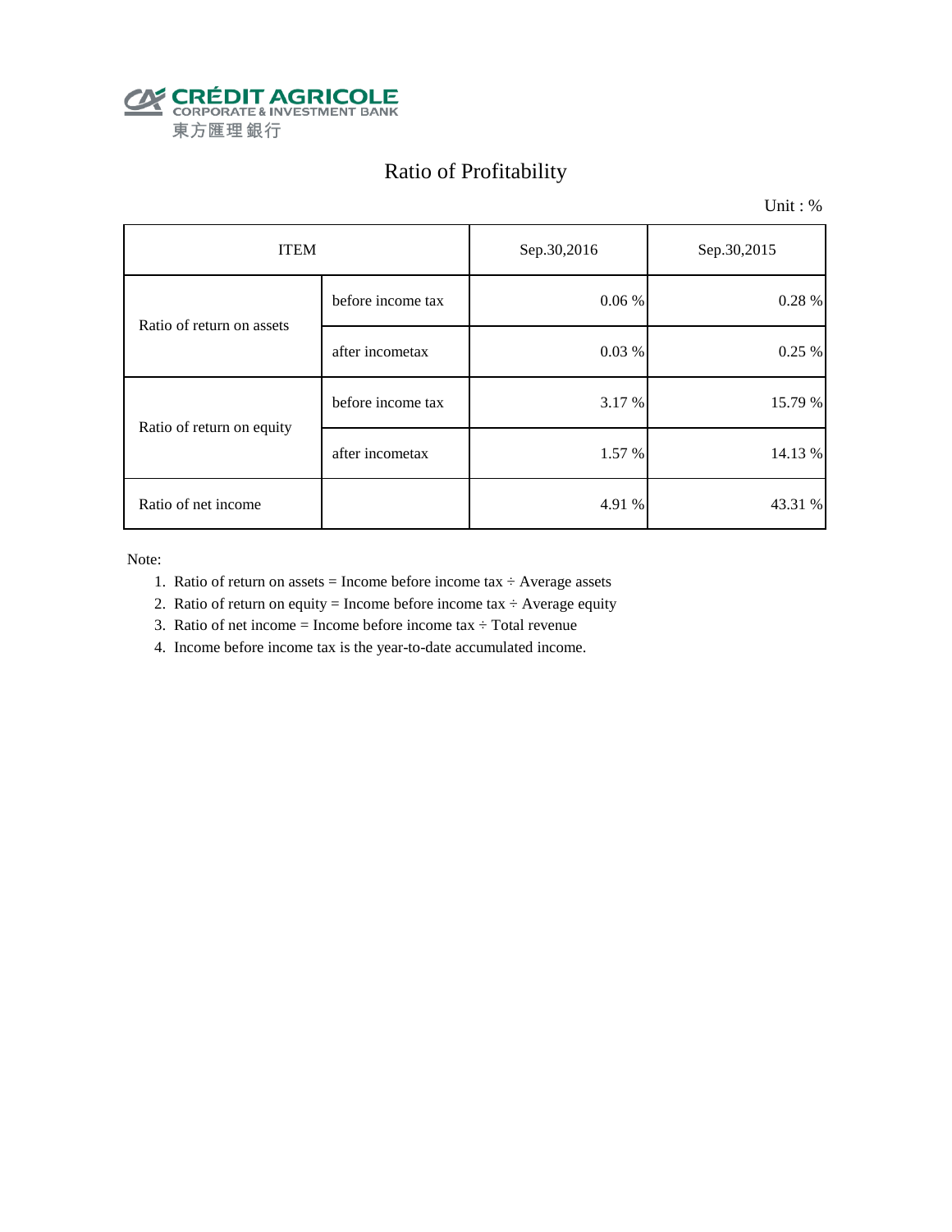

## Ratio of Profitability

Unit : %

| <b>ITEM</b>               |                   | Sep.30,2016 | Sep.30,2015 |  |
|---------------------------|-------------------|-------------|-------------|--|
| Ratio of return on assets | before income tax | 0.06%       | 0.28 %      |  |
|                           | after incometax   | 0.03%       | 0.25%       |  |
| Ratio of return on equity | before income tax | 3.17 %      | 15.79 %     |  |
|                           | after incometax   | 1.57 %      | 14.13 %     |  |
| Ratio of net income       |                   | 4.91 %      | 43.31 %     |  |

- 1. Ratio of return on assets = Income before income tax  $\div$  Average assets
- 2. Ratio of return on equity = Income before income tax  $\div$  Average equity
- 3. Ratio of net income = Income before income tax  $\div$  Total revenue
- 4. Income before income tax is the year-to-date accumulated income.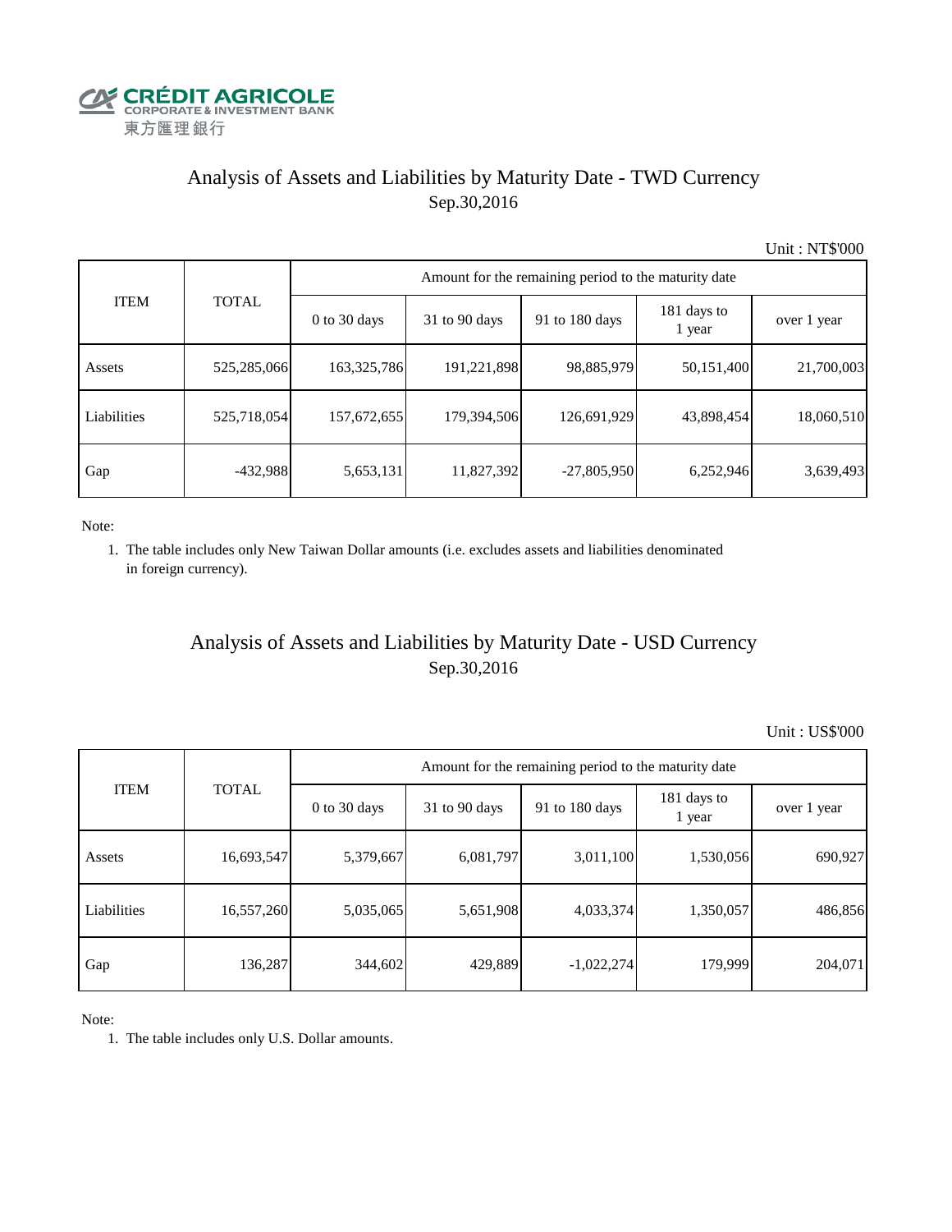

## Analysis of Assets and Liabilities by Maturity Date - TWD Currency Sep.30,2016

Unit : NT\$'000

| <b>ITEM</b> | <b>TOTAL</b> | Amount for the remaining period to the maturity date |                 |                |                       |             |  |  |
|-------------|--------------|------------------------------------------------------|-----------------|----------------|-----------------------|-------------|--|--|
|             |              | $0$ to 30 days                                       | $31$ to 90 days | 91 to 180 days | 181 days to<br>1 year | over 1 year |  |  |
| Assets      | 525,285,066  | 163,325,786                                          | 191,221,898     | 98,885,979     | 50,151,400            | 21,700,003  |  |  |
| Liabilities | 525,718,054  | 157,672,655                                          | 179,394,506     | 126,691,929    | 43,898,454            | 18,060,510  |  |  |
| Gap         | $-432,988$   | 5,653,131                                            | 11,827,392      | $-27,805,950$  | 6,252,946             | 3,639,493   |  |  |

Note:

 1. The table includes only New Taiwan Dollar amounts (i.e. excludes assets and liabilities denominated in foreign currency).

#### Analysis of Assets and Liabilities by Maturity Date - USD Currency Sep.30,2016

Unit : US\$'000

| <b>ITEM</b> | <b>TOTAL</b> | Amount for the remaining period to the maturity date |                 |                |                       |             |  |  |
|-------------|--------------|------------------------------------------------------|-----------------|----------------|-----------------------|-------------|--|--|
|             |              | $0$ to 30 days                                       | $31$ to 90 days | 91 to 180 days | 181 days to<br>1 year | over 1 year |  |  |
| Assets      | 16,693,547   | 5,379,667                                            | 6,081,797       | 3,011,100      | 1,530,056             | 690,927     |  |  |
| Liabilities | 16,557,260   | 5,035,065                                            | 5,651,908       | 4,033,374      | 1,350,057             | 486,856     |  |  |
| Gap         | 136,287      | 344,602                                              | 429,889         | $-1,022,274$   | 179,999               | 204,071     |  |  |

Note:

1. The table includes only U.S. Dollar amounts.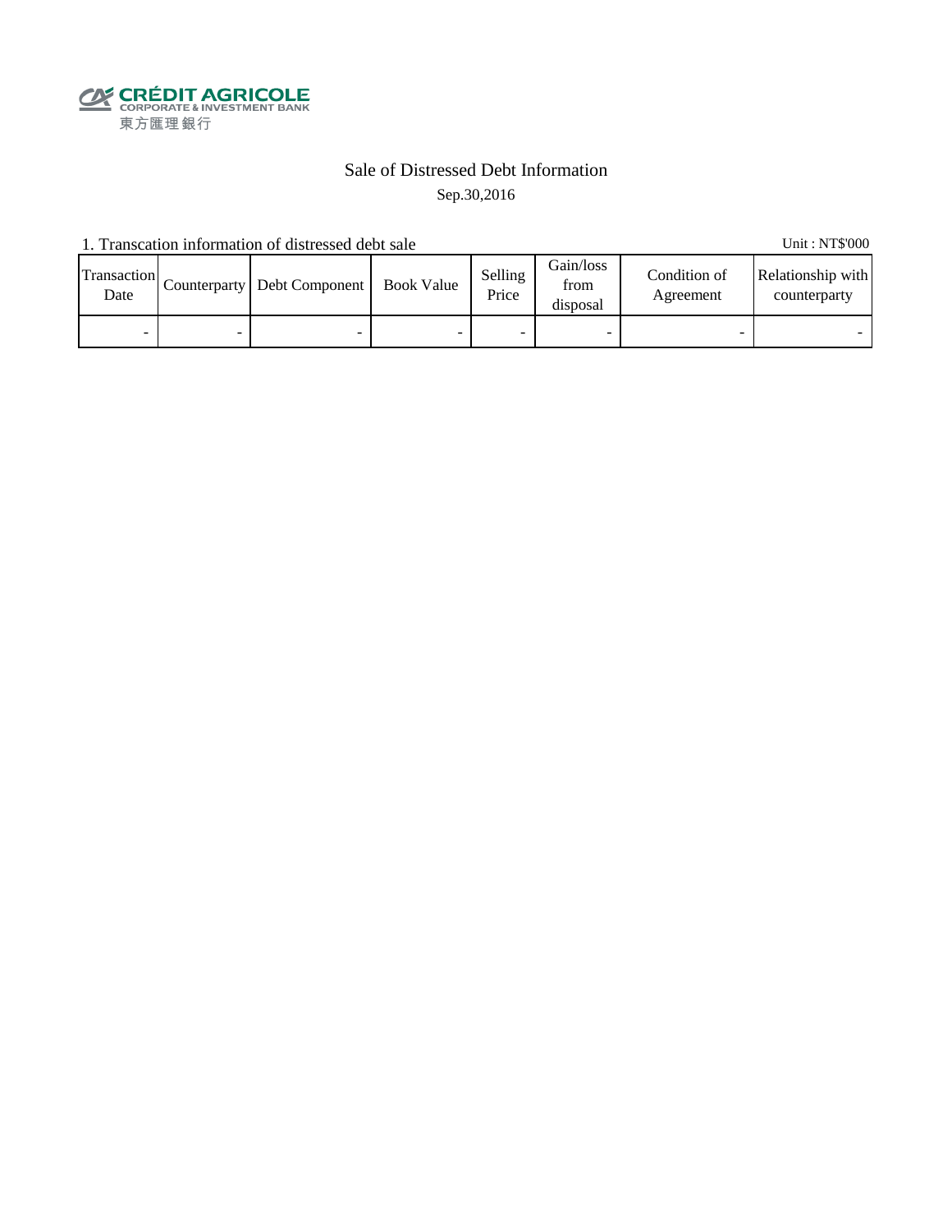

#### Sale of Distressed Debt Information Sep.30,2016

1. Transcation information of distressed debt sale Unit: NT\$'000

Transaction  $\frac{\text{D}}{\text{Date}}$  Counterparty Debt Component Book Value Selling Price Gain/loss from disposal Condition of Agreement Relationship with counterparty - - - - - - - -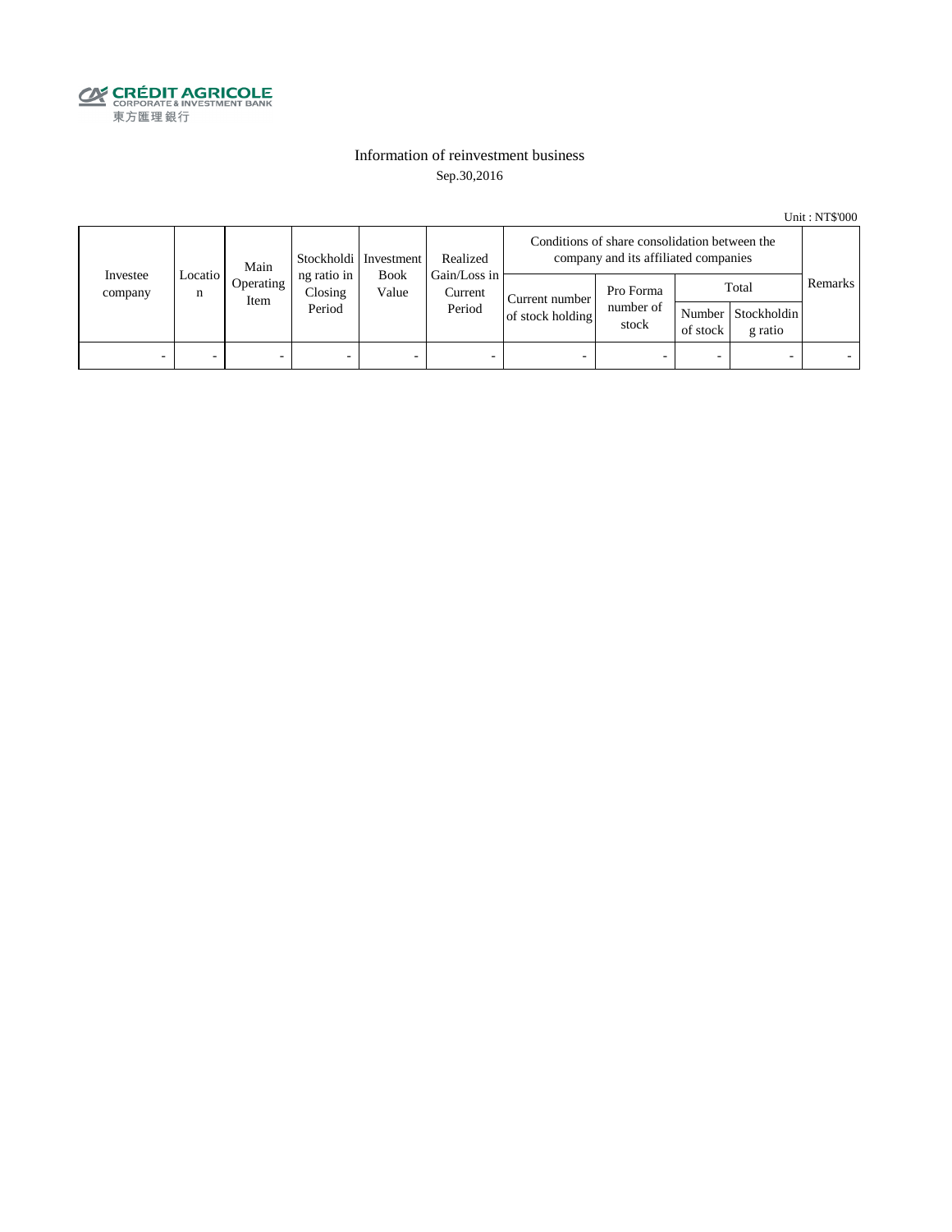

#### Information of reinvestment business Sep.30,2016

Unit : NT\$'000

| Investee<br>company | Main<br>Locatio  <br>n<br>Item |           | Stockholdi   Investment<br>ng ratio in<br><b>Book</b><br>Closing<br>Value<br>Period | Realized                          | Conditions of share consolidation between the<br>company and its affiliated companies |                                 |          |                                        |         |  |
|---------------------|--------------------------------|-----------|-------------------------------------------------------------------------------------|-----------------------------------|---------------------------------------------------------------------------------------|---------------------------------|----------|----------------------------------------|---------|--|
|                     |                                | Operating |                                                                                     | Gain/Loss in<br>Current<br>Period | Current number<br>of stock holding                                                    | Pro Forma<br>number of<br>stock | of stock | Total<br>Number Stockholdin<br>g ratio | Remarks |  |
| -                   |                                | -         | $\overline{\phantom{0}}$                                                            | -                                 | $\overline{\phantom{a}}$                                                              | -                               |          | $\overline{\phantom{0}}$               |         |  |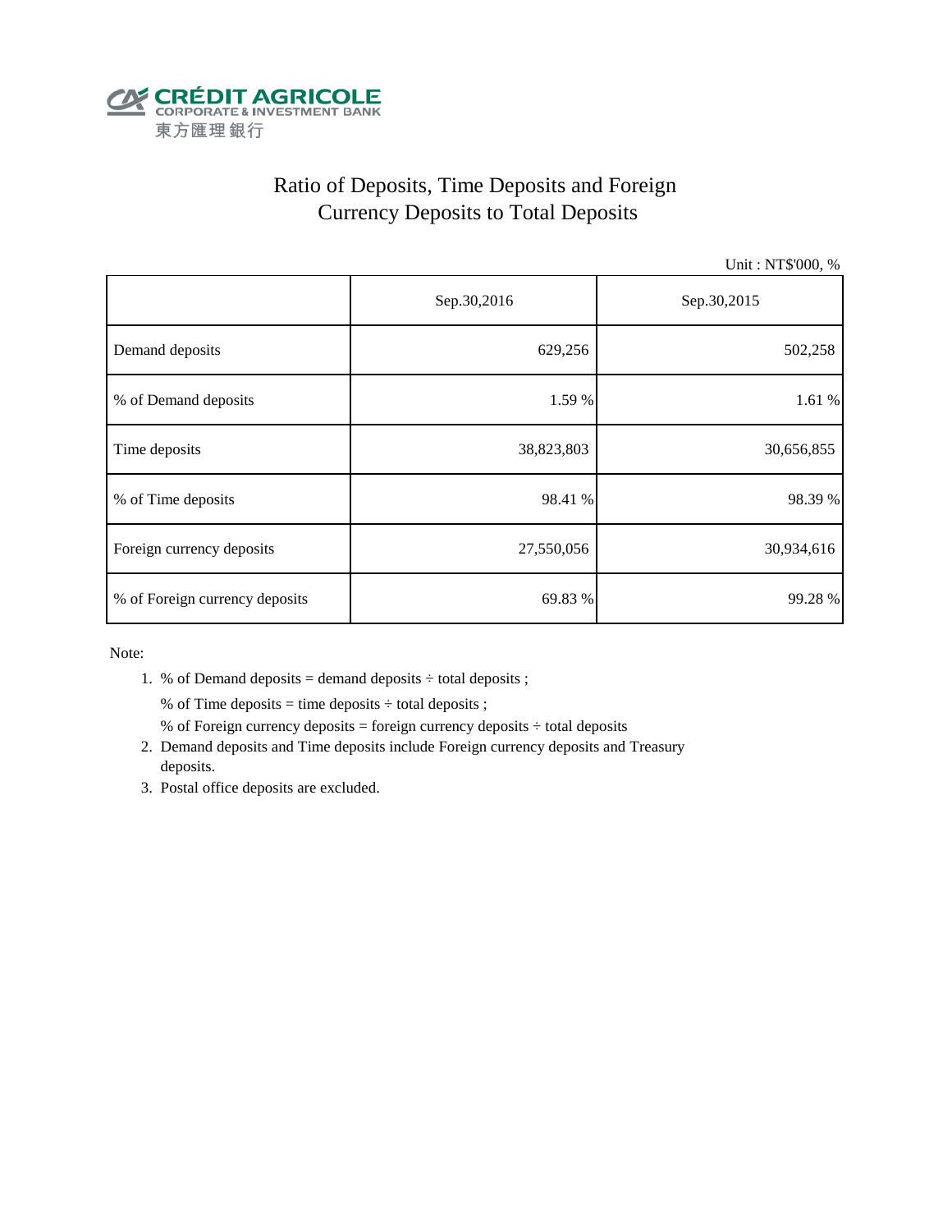

## Ratio of Deposits, Time Deposits and Foreign Currency Deposits to Total Deposits

Unit : NT\$'000, %

|                                | Sep.30,2016 | Sep.30,2015 |  |  |
|--------------------------------|-------------|-------------|--|--|
| Demand deposits                | 629,256     | 502,258     |  |  |
| % of Demand deposits           | 1.59 %      | 1.61 %      |  |  |
| Time deposits                  | 38,823,803  | 30,656,855  |  |  |
| % of Time deposits             | 98.41 %     | 98.39 %     |  |  |
| Foreign currency deposits      | 27,550,056  | 30,934,616  |  |  |
| % of Foreign currency deposits | 69.83 %     | 99.28%      |  |  |

Note:

1. % of Demand deposits = demand deposits  $\div$  total deposits ;

% of Time deposits = time deposits  $\div$  total deposits ;

- % of Foreign currency deposits = foreign currency deposits  $\div$  total deposits
- 2. Demand deposits and Time deposits include Foreign currency deposits and Treasury deposits.
- 3. Postal office deposits are excluded.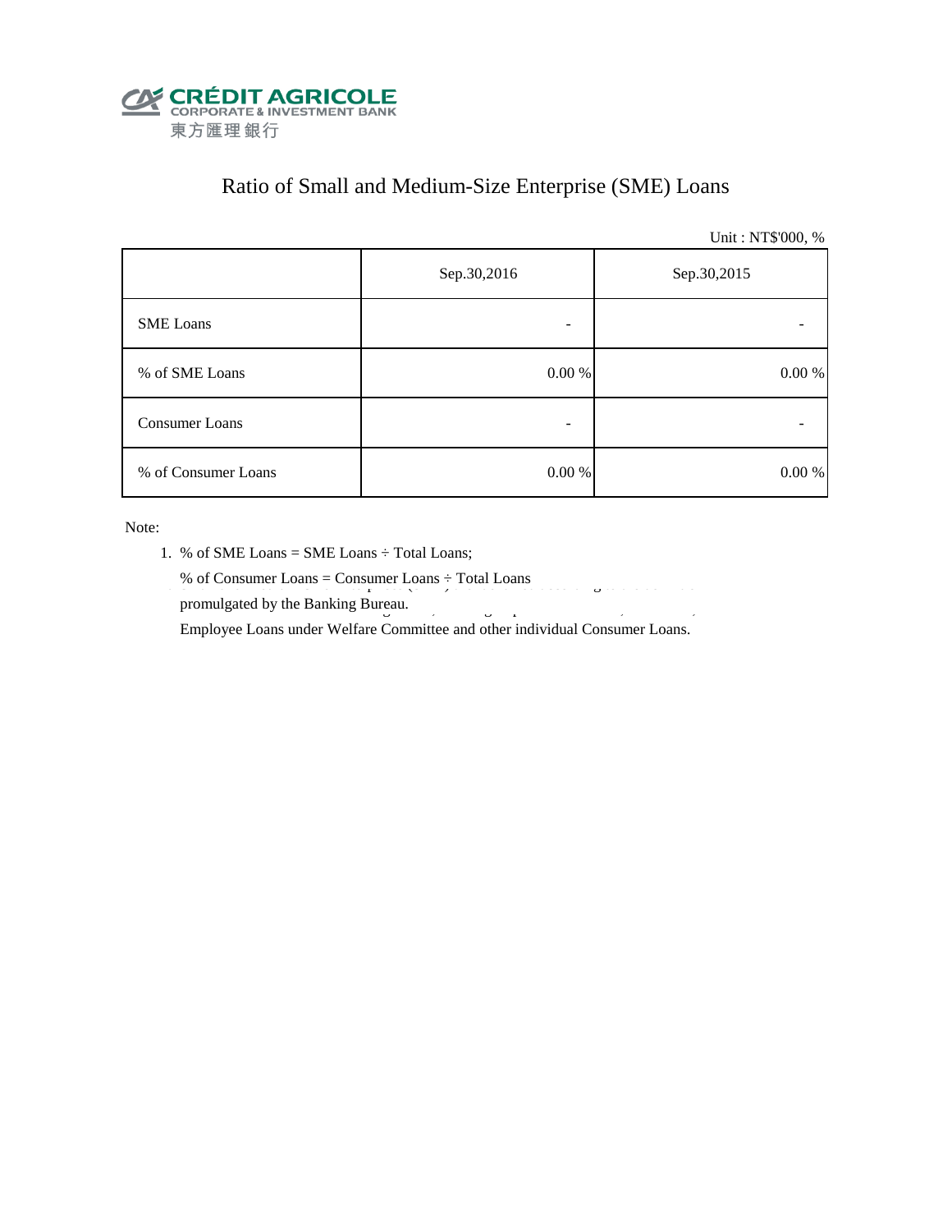

## Ratio of Small and Medium-Size Enterprise (SME) Loans

Unit : NT\$'000, %

|                     | Sep.30,2016 | Sep.30,2015 |
|---------------------|-------------|-------------|
| <b>SME</b> Loans    | -           |             |
| % of SME Loans      | $0.00~\%$   | $0.00\ \%$  |
| Consumer Loans      | -           |             |
| % of Consumer Loans | 0.00 %      | 0.00 %      |

- 1. % of SME Loans = SME Loans ÷ Total Loans;
- % of Consumer Loans = Consumer Loans  $\div$  Total Loans
	- promulgated by the Banking Bureau. Employee Loans under Welfare Committee and other individual Consumer Loans.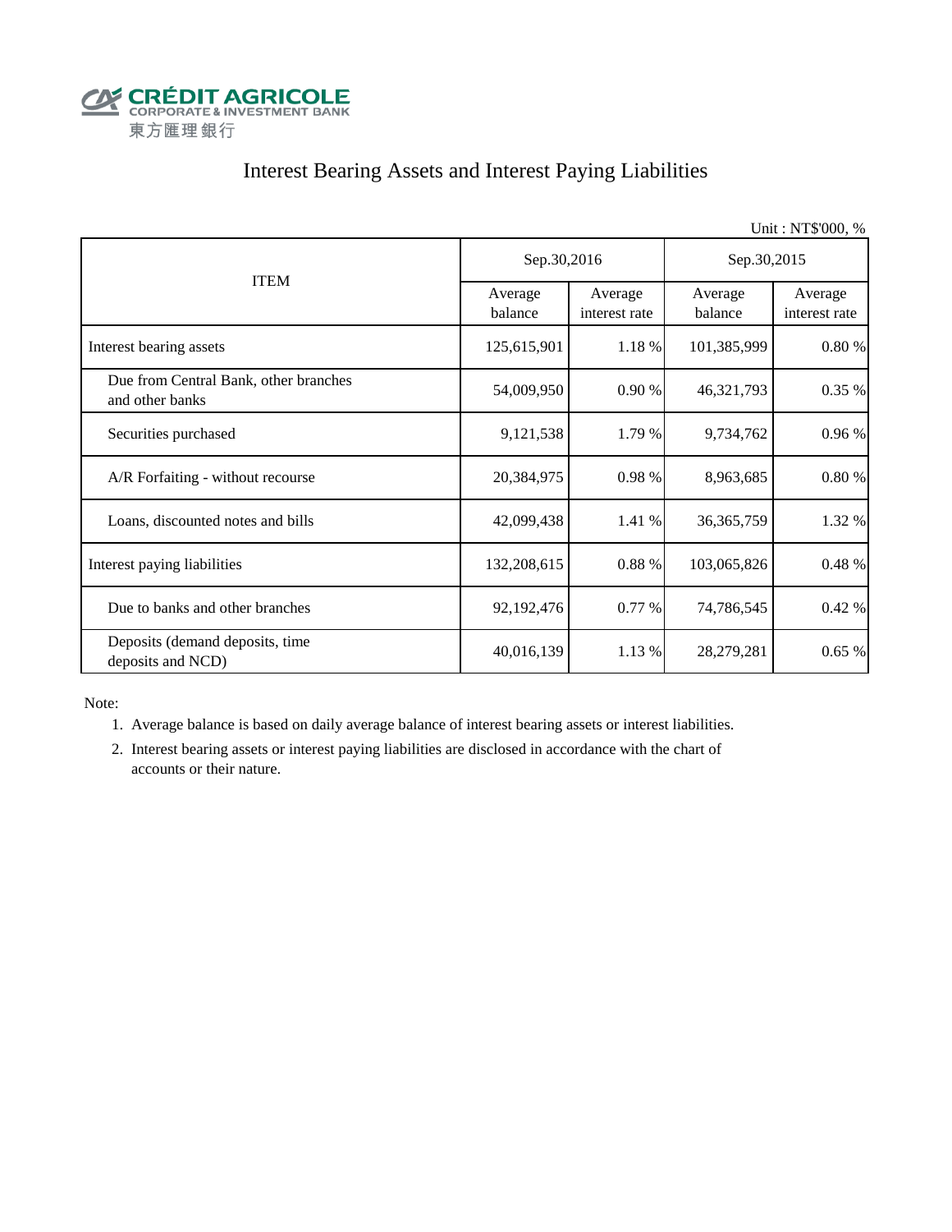

## Interest Bearing Assets and Interest Paying Liabilities

Unit : NT\$'000, % Average balance Average interest rate Average balance Average interest rate Interest bearing assets 125,615,901 1.18 % 101,385,999 0.80 % Due from Central Bank, other branches and other banks 54,009,950 0.90 % 46,321,793 0.35 % Securities purchased 0.96 % 9,121,538 1.79 % 9,734,762 0.96 % A/R Forfaiting - without recourse 20,384,975 0.98 % 8,963,685 0.80 % Loans, discounted notes and bills  $\begin{array}{|c|c|c|c|c|c|c|c|c|} \hline 42,099,438 & 1.41 \% & 36,365,759 & 1.32 \% \hline \end{array}$ Interest paying liabilities 132,208,615 0.88 % 103,065,826 0.48 % Due to banks and other branches 192,192,476 0.77 % 74,786,545 0.42 % Deposits (demand deposits, time deposits and NCD)  $40,016,139$   $1.13\%$   $28,279,281$   $0.65\%$ ITEM Sep.30,2016 Sep.30,2015

Note:

1. Average balance is based on daily average balance of interest bearing assets or interest liabilities.

 2. Interest bearing assets or interest paying liabilities are disclosed in accordance with the chart of accounts or their nature.